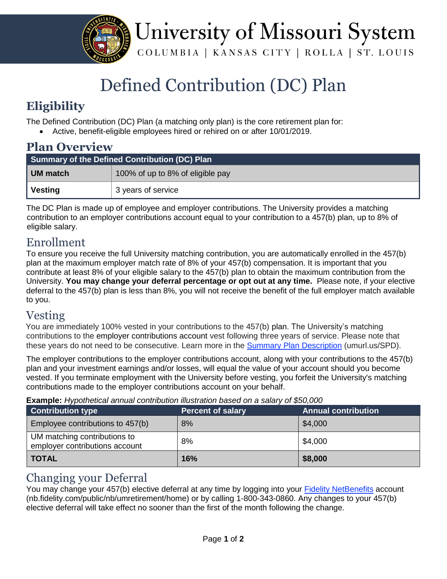

University of Missouri System COLUMBIA | KANSAS CITY | ROLLA | ST. LOUIS

# Defined Contribution (DC) Plan

# **Eligibility**

The Defined Contribution (DC) Plan (a matching only plan) is the core retirement plan for:

Active, benefit-eligible employees hired or rehired on or after 10/01/2019.

| <b>Plan Overview</b>                          |                                  |  |
|-----------------------------------------------|----------------------------------|--|
| Summary of the Defined Contribution (DC) Plan |                                  |  |
| <b>UM</b> match                               | 100% of up to 8% of eligible pay |  |
| Vesting                                       | 3 years of service               |  |

The DC Plan is made up of employee and employer contributions. The University provides a matching contribution to an employer contributions account equal to your contribution to a 457(b) plan, up to 8% of eligible salary.

### Enrollment

To ensure you receive the full University matching contribution, you are automatically enrolled in the 457(b) plan at the maximum employer match rate of 8% of your 457(b) compensation. It is important that you contribute at least 8% of your eligible salary to the 457(b) plan to obtain the maximum contribution from the University. **You may change your deferral percentage or opt out at any time.** Please note, if your elective deferral to the 457(b) plan is less than 8%, you will not receive the benefit of the full employer match available to you.

### Vesting

You are immediately 100% vested in your contributions to the 457(b) plan. The University's matching contributions to the employer contributions account vest following three years of service. Please note that these years do not need to be consecutive. Learn more in the Summary Plan Descriptio[n](https://uminfopoint.umsystem.edu/sites/hr/Benefits/RETIRE/CURRENT/SPD-RDD2-ERIP-VRP.pdf) (umurl.us/SPD).

The employer contributions to the employer contributions account, along with your contributions to the 457(b) plan and your investment earnings and/or losses, will equal the value of your account should you become vested. If you terminate employment with the University before vesting, you forfeit the University's matching contributions made to the employer contributions account on your behalf.

**Example:** *Hypothetical annual contribution illustration based on a salary of \$50,000*

| Contribution type                                              | <b>Percent of salary</b> | <b>Annual contribution</b> |
|----------------------------------------------------------------|--------------------------|----------------------------|
| Employee contributions to 457(b)                               | 8%                       | \$4,000                    |
| UM matching contributions to<br>employer contributions account | 8%                       | \$4,000                    |
| <b>TOTAL</b>                                                   | 16%                      | \$8,000                    |

### Changing your Deferral

You may change your 457(b) elective deferral at any time by logging into your [Fidelity NetBenefits](http://nb.fidelity.com/public/nb/umretirement/home) account (nb.fidelity.com/public/nb/umretirement/home) or by calling 1-800-343-0860. Any changes to your 457(b) elective deferral will take effect no sooner than the first of the month following the change.